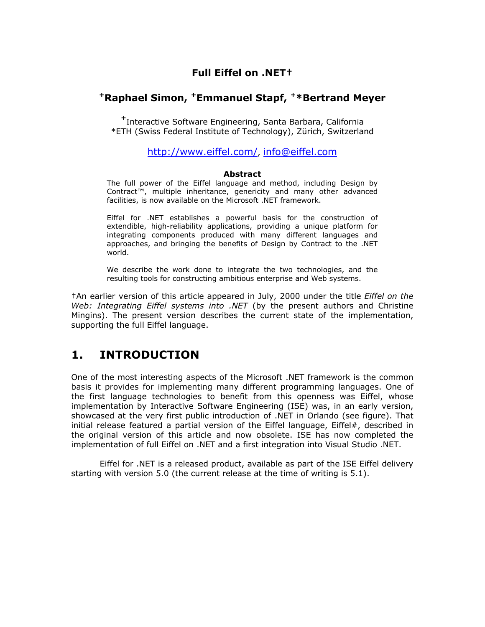### **Full Eiffel on .NET†**

### **+Raphael Simon, +Emmanuel Stapf, +\*Bertrand Meyer**

**<sup>+</sup>**Interactive Software Engineering, Santa Barbara, California \*ETH (Swiss Federal Institute of Technology), Zürich, Switzerland

#### <http://www.eiffel.com/>, [info@eiffel.com](mailto:info@eiffel.com)

#### **Abstract**

The full power of the Eiffel language and method, including Design by Contract™, multiple inheritance, genericity and many other advanced facilities, is now available on the Microsoft .NET framework.

Eiffel for .NET establishes a powerful basis for the construction of extendible, high-reliability applications, providing a unique platform for integrating components produced with many different languages and approaches, and bringing the benefits of Design by Contract to the .NET world.

We describe the work done to integrate the two technologies, and the resulting tools for constructing ambitious enterprise and Web systems.

†An earlier version of this article appeared in July, 2000 under the title *Eiffel on the Web: Integrating Eiffel systems into .NET* (by the present authors and Christine Mingins). The present version describes the current state of the implementation, supporting the full Eiffel language.

## **1. INTRODUCTION**

One of the most interesting aspects of the Microsoft .NET framework is the common basis it provides for implementing many different programming languages. One of the first language technologies to benefit from this openness was Eiffel, whose implementation by Interactive Software Engineering (ISE) was, in an early version, showcased at the very first public introduction of .NET in Orlando (see figure). That initial release featured a partial version of the Eiffel language, Eiffel#, described in the original version of this article and now obsolete. ISE has now completed the implementation of full Eiffel on .NET and a first integration into Visual Studio .NET.

 Eiffel for .NET is a released product, available as part of the ISE Eiffel delivery starting with version 5.0 (the current release at the time of writing is 5.1).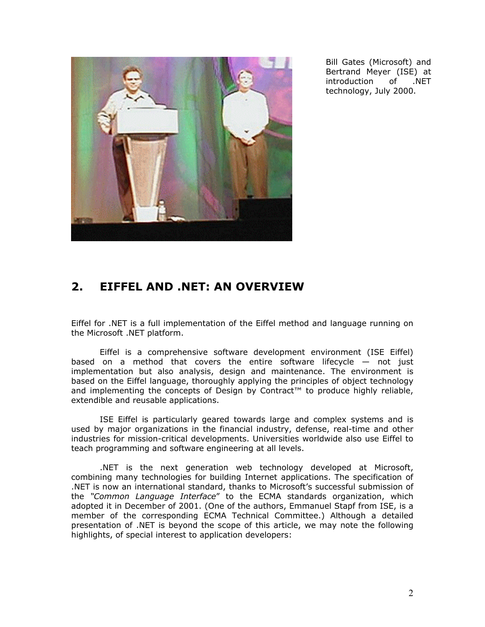

Bill Gates (Microsoft) and Bertrand Meyer (ISE) at introduction of .NET technology, July 2000.

# **2. EIFFEL AND .NET: AN OVERVIEW**

Eiffel for .NET is a full implementation of the Eiffel method and language running on the Microsoft .NET platform.

Eiffel is a comprehensive software development environment (ISE Eiffel) based on a method that covers the entire software lifecycle — not just implementation but also analysis, design and maintenance. The environment is based on the Eiffel language, thoroughly applying the principles of object technology and implementing the concepts of Design by Contract™ to produce highly reliable, extendible and reusable applications.

ISE Eiffel is particularly geared towards large and complex systems and is used by major organizations in the financial industry, defense, real-time and other industries for mission-critical developments. Universities worldwide also use Eiffel to teach programming and software engineering at all levels.

.NET is the next generation web technology developed at Microsoft, combining many technologies for building Internet applications. The specification of .NET is now an international standard, thanks to Microsoft's successful submission of the *"Common Language Interface*" to the ECMA standards organization, which adopted it in December of 2001. (One of the authors, Emmanuel Stapf from ISE, is a member of the corresponding ECMA Technical Committee.) Although a detailed presentation of .NET is beyond the scope of this article, we may note the following highlights, of special interest to application developers: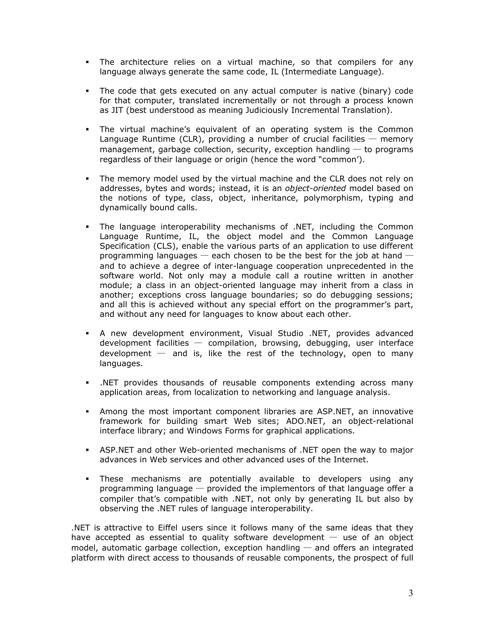- The architecture relies on a virtual machine, so that compilers for any language always generate the same code, IL (Intermediate Language).
- The code that gets executed on any actual computer is native (binary) code for that computer, translated incrementally or not through a process known as JIT (best understood as meaning Judiciously Incremental Translation).
- The virtual machine's equivalent of an operating system is the Common Language Runtime (CLR), providing a number of crucial facilities  $-$  memory management, garbage collection, security, exception handling  $-$  to programs regardless of their language or origin (hence the word "common').
- The memory model used by the virtual machine and the CLR does not rely on addresses, bytes and words; instead, it is an *object-oriented* model based on the notions of type, class, object, inheritance, polymorphism, typing and dynamically bound calls.
- The language interoperability mechanisms of .NET, including the Common Language Runtime, IL, the object model and the Common Language Specification (CLS), enable the various parts of an application to use different programming languages  $-$  each chosen to be the best for the job at hand  $$ and to achieve a degree of inter-language cooperation unprecedented in the software world. Not only may a module call a routine written in another module; a class in an object-oriented language may inherit from a class in another; exceptions cross language boundaries; so do debugging sessions; and all this is achieved without any special effort on the programmer's part, and without any need for languages to know about each other.
- A new development environment, Visual Studio .NET, provides advanced  $development$  facilities  $-$  compilation, browsing, debugging, user interface development  $-$  and is, like the rest of the technology, open to many languages.
- .NET provides thousands of reusable components extending across many application areas, from localization to networking and language analysis.
- Among the most important component libraries are ASP.NET, an innovative framework for building smart Web sites; ADO.NET, an object-relational interface library; and Windows Forms for graphical applications.
- ASP.NET and other Web-oriented mechanisms of .NET open the way to major advances in Web services and other advanced uses of the Internet.
- These mechanisms are potentially available to developers using any programming language  $-$  provided the implementors of that language offer a compiler that's compatible with .NET, not only by generating IL but also by observing the .NET rules of language interoperability.

.NET is attractive to Eiffel users since it follows many of the same ideas that they have accepted as essential to quality software development  $-$  use of an object model, automatic garbage collection, exception handling  $-$  and offers an integrated platform with direct access to thousands of reusable components, the prospect of full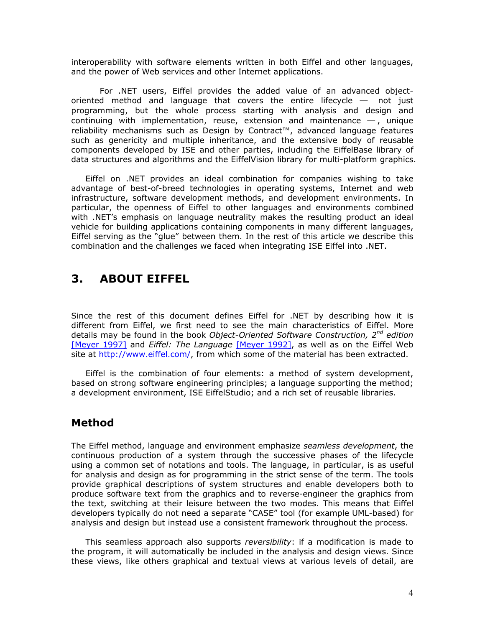interoperability with software elements written in both Eiffel and other languages, and the power of Web services and other Internet applications.

For .NET users, Eiffel provides the added value of an advanced objectoriented method and language that covers the entire lifecycle  $-$  not just programming, but the whole process starting with analysis and design and continuing with implementation, reuse, extension and maintenance  $-$ , unique reliability mechanisms such as Design by Contract™, advanced language features such as genericity and multiple inheritance, and the extensive body of reusable components developed by ISE and other parties, including the EiffelBase library of data structures and algorithms and the EiffelVision library for multi-platform graphics.

Eiffel on .NET provides an ideal combination for companies wishing to take advantage of best-of-breed technologies in operating systems, Internet and web infrastructure, software development methods, and development environments. In particular, the openness of Eiffel to other languages and environments combined with .NET's emphasis on language neutrality makes the resulting product an ideal vehicle for building applications containing components in many different languages, Eiffel serving as the "glue" between them. In the rest of this article we describe this combination and the challenges we faced when integrating ISE Eiffel into .NET.

# **3. ABOUT EIFFEL**

Since the rest of this document defines Eiffel for .NET by describing how it is different from Eiffel, we first need to see the main characteristics of Eiffel. More details may be found in the book *Object-Oriented Software Construction, 2nd edition*  [\[Meyer 1997\]](http://www.eiffel.com/doc/oosc/) and *Eiffel: The Language* [\[Meyer 1992\],](http://www.eiffel.com/doc/) as well as on the Eiffel Web site at [http://www.eiffel.com/,](http://www.eiffel.com/) from which some of the material has been extracted.

Eiffel is the combination of four elements: a method of system development, based on strong software engineering principles; a language supporting the method; a development environment, ISE EiffelStudio; and a rich set of reusable libraries.

## **Method**

The Eiffel method, language and environment emphasize *seamless development*, the continuous production of a system through the successive phases of the lifecycle using a common set of notations and tools. The language, in particular, is as useful for analysis and design as for programming in the strict sense of the term. The tools provide graphical descriptions of system structures and enable developers both to produce software text from the graphics and to reverse-engineer the graphics from the text, switching at their leisure between the two modes. This means that Eiffel developers typically do not need a separate "CASE" tool (for example UML-based) for analysis and design but instead use a consistent framework throughout the process.

This seamless approach also supports *reversibility*: if a modification is made to the program, it will automatically be included in the analysis and design views. Since these views, like others graphical and textual views at various levels of detail, are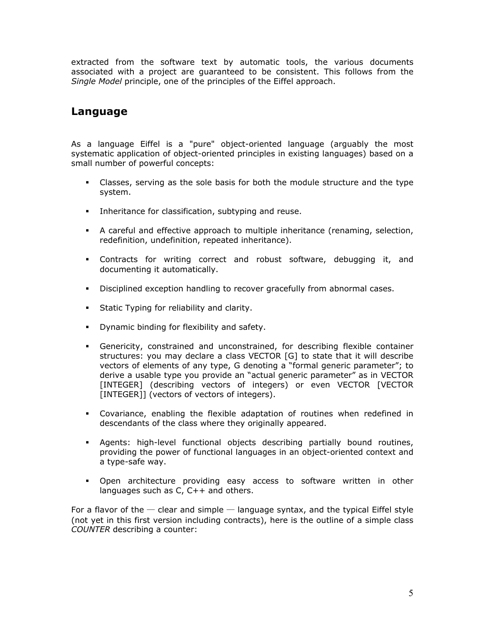extracted from the software text by automatic tools, the various documents associated with a project are guaranteed to be consistent. This follows from the *Single Model* principle, one of the principles of the Eiffel approach.

### **Language**

As a language Eiffel is a "pure" object-oriented language (arguably the most systematic application of object-oriented principles in existing languages) based on a small number of powerful concepts:

- Classes, serving as the sole basis for both the module structure and the type system.
- **Inheritance for classification, subtyping and reuse.**
- A careful and effective approach to multiple inheritance (renaming, selection, redefinition, undefinition, repeated inheritance).
- Contracts for writing correct and robust software, debugging it, and documenting it automatically.
- **Disciplined exception handling to recover gracefully from abnormal cases.**
- **Static Typing for reliability and clarity.**
- **•** Dynamic binding for flexibility and safety.
- Genericity, constrained and unconstrained, for describing flexible container structures: you may declare a class VECTOR [G] to state that it will describe vectors of elements of any type, G denoting a "formal generic parameter"; to derive a usable type you provide an "actual generic parameter" as in VECTOR [INTEGER] (describing vectors of integers) or even VECTOR [VECTOR [INTEGER]] (vectors of vectors of integers).
- Covariance, enabling the flexible adaptation of routines when redefined in descendants of the class where they originally appeared.
- Agents: high-level functional objects describing partially bound routines, providing the power of functional languages in an object-oriented context and a type-safe way.
- Open architecture providing easy access to software written in other languages such as C, C++ and others.

For a flavor of the  $-$  clear and simple  $-$  language syntax, and the typical Eiffel style (not yet in this first version including contracts), here is the outline of a simple class *COUNTER* describing a counter: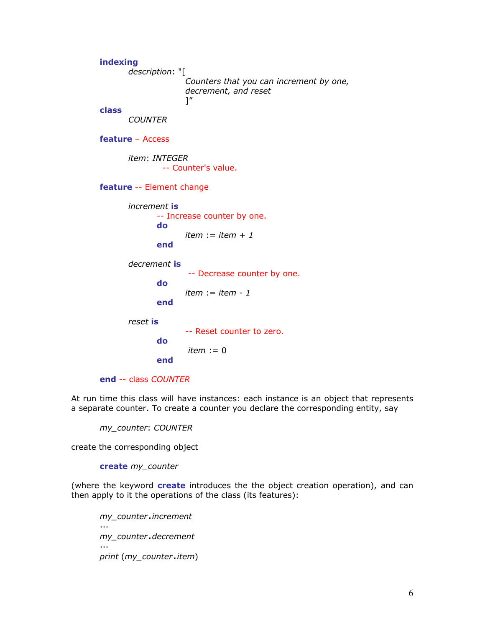**indexing**  *description*: "[ *Counters that you can increment by one, decrement, and reset* ]" **class**  *COUNTER*  **feature** – Access *item*: *INTEGER* -- Counter's value. **feature** -- Element change *increment* **is** -- Increase counter by one. **do**  *item* := *item* + *1* **end**  *decrement* **is** -- Decrease counter by one. **do**  *item* := *item* - *1* **end**  *reset* **is** -- Reset counter to zero. **do**  *item* := 0 **end end** -- class *COUNTER*

At run time this class will have instances: each instance is an object that represents a separate counter. To create a counter you declare the corresponding entity, say

*my\_counter*: *COUNTER*

create the corresponding object

**create** *my\_counter*

(where the keyword **create** introduces the the object creation operation), and can then apply to it the operations of the class (its features):

*my\_counter*.*increment* ... *my\_counter*.*decrement*  ... *print* (*my\_counter*.*item*)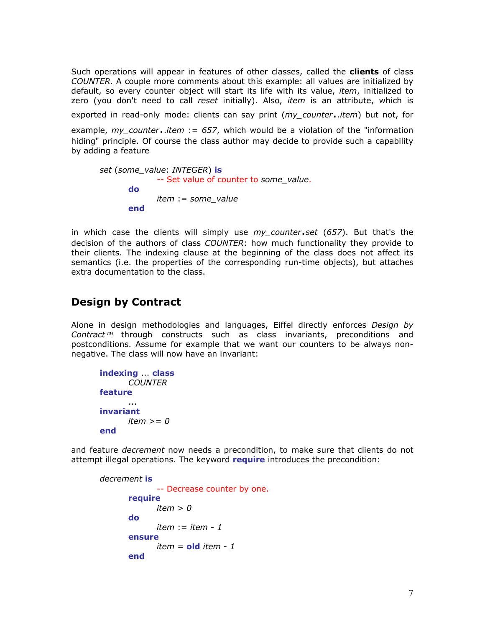Such operations will appear in features of other classes, called the **clients** of class *COUNTER*. A couple more comments about this example: all values are initialized by default, so every counter object will start its life with its value, *item*, initialized to zero (you don't need to call *reset* initially). Also, *item* is an attribute, which is

exported in read-only mode: clients can say print (*my\_counter*..*item*) but not, for

example, *my\_counter*..*item* := *657*, which would be a violation of the "information hiding" principle. Of course the class author may decide to provide such a capability by adding a feature

```
set (some_value: INTEGER) is
              -- Set value of counter to some_value. 
       do 
               item := some_value
       end
```
in which case the clients will simply use *my\_counter*.*set* (*657*). But that's the decision of the authors of class *COUNTER*: how much functionality they provide to their clients. The indexing clause at the beginning of the class does not affect its semantics (i.e. the properties of the corresponding run-time objects), but attaches extra documentation to the class.

## **Design by Contract**

Alone in design methodologies and languages, Eiffel directly enforces *Design by* Contract<sup>™</sup> through constructs such as class invariants, preconditions and postconditions. Assume for example that we want our counters to be always nonnegative. The class will now have an invariant:

```
indexing ... class
      COUNTER 
feature 
 ... 
invariant 
      item >= 0
end
```
and feature *decrement* now needs a precondition, to make sure that clients do not attempt illegal operations. The keyword **require** introduces the precondition:

```
decrement is
               -- Decrease counter by one. 
       require 
               item > 0
       do 
               item := item - 1
       ensure 
              item = old item - 1end
```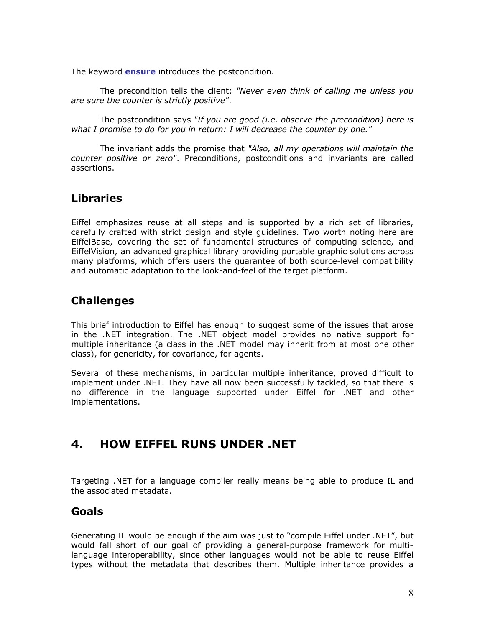The keyword **ensure** introduces the postcondition.

The precondition tells the client: *"Never even think of calling me unless you are sure the counter is strictly positive"*.

The postcondition says *"If you are good (i.e. observe the precondition) here is what I promise to do for you in return: I will decrease the counter by one."*

The invariant adds the promise that *"Also, all my operations will maintain the counter positive or zero"*. Preconditions, postconditions and invariants are called assertions.

### **Libraries**

Eiffel emphasizes reuse at all steps and is supported by a rich set of libraries, carefully crafted with strict design and style guidelines. Two worth noting here are EiffelBase, covering the set of fundamental structures of computing science, and EiffelVision, an advanced graphical library providing portable graphic solutions across many platforms, which offers users the guarantee of both source-level compatibility and automatic adaptation to the look-and-feel of the target platform.

### **Challenges**

This brief introduction to Eiffel has enough to suggest some of the issues that arose in the .NET integration. The .NET object model provides no native support for multiple inheritance (a class in the .NET model may inherit from at most one other class), for genericity, for covariance, for agents.

Several of these mechanisms, in particular multiple inheritance, proved difficult to implement under .NET. They have all now been successfully tackled, so that there is no difference in the language supported under Eiffel for .NET and other implementations.

# **4. HOW EIFFEL RUNS UNDER .NET**

Targeting .NET for a language compiler really means being able to produce IL and the associated metadata.

### **Goals**

Generating IL would be enough if the aim was just to "compile Eiffel under .NET", but would fall short of our goal of providing a general-purpose framework for multilanguage interoperability, since other languages would not be able to reuse Eiffel types without the metadata that describes them. Multiple inheritance provides a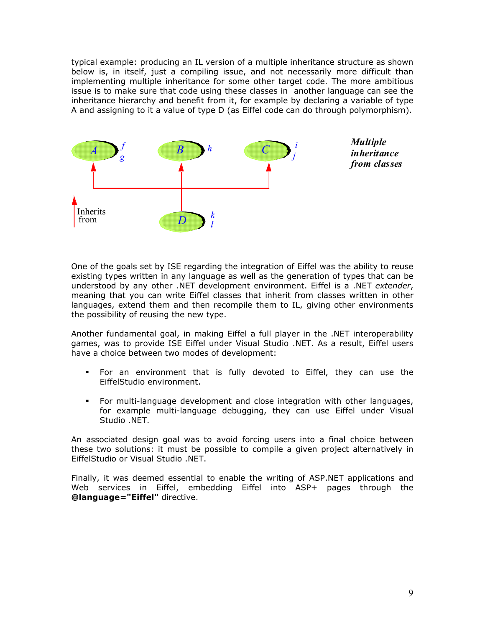typical example: producing an IL version of a multiple inheritance structure as shown below is, in itself, just a compiling issue, and not necessarily more difficult than implementing multiple inheritance for some other target code. The more ambitious issue is to make sure that code using these classes in another language can see the inheritance hierarchy and benefit from it, for example by declaring a variable of type A and assigning to it a value of type D (as Eiffel code can do through polymorphism).



One of the goals set by ISE regarding the integration of Eiffel was the ability to reuse existing types written in any language as well as the generation of types that can be understood by any other .NET development environment. Eiffel is a .NET *extender*, meaning that you can write Eiffel classes that inherit from classes written in other languages, extend them and then recompile them to IL, giving other environments the possibility of reusing the new type.

Another fundamental goal, in making Eiffel a full player in the .NET interoperability games, was to provide ISE Eiffel under Visual Studio .NET. As a result, Eiffel users have a choice between two modes of development:

- For an environment that is fully devoted to Eiffel, they can use the EiffelStudio environment.
- For multi-language development and close integration with other languages, for example multi-language debugging, they can use Eiffel under Visual Studio .NET.

An associated design goal was to avoid forcing users into a final choice between these two solutions: it must be possible to compile a given project alternatively in EiffelStudio or Visual Studio .NET.

Finally, it was deemed essential to enable the writing of ASP.NET applications and Web services in Eiffel, embedding Eiffel into ASP+ pages through the **@language="Eiffel"** directive.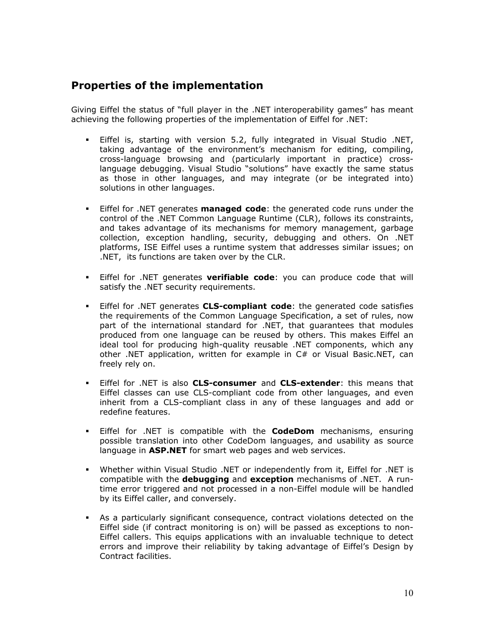### **Properties of the implementation**

Giving Eiffel the status of "full player in the .NET interoperability games" has meant achieving the following properties of the implementation of Eiffel for .NET:

- Eiffel is, starting with version 5.2, fully integrated in Visual Studio .NET, taking advantage of the environment's mechanism for editing, compiling, cross-language browsing and (particularly important in practice) crosslanguage debugging. Visual Studio "solutions" have exactly the same status as those in other languages, and may integrate (or be integrated into) solutions in other languages.
- Eiffel for .NET generates **managed code**: the generated code runs under the control of the .NET Common Language Runtime (CLR), follows its constraints, and takes advantage of its mechanisms for memory management, garbage collection, exception handling, security, debugging and others. On .NET platforms, ISE Eiffel uses a runtime system that addresses similar issues; on .NET, its functions are taken over by the CLR.
- Eiffel for .NET generates **verifiable code**: you can produce code that will satisfy the .NET security requirements.
- Eiffel for .NET generates **CLS-compliant code**: the generated code satisfies the requirements of the Common Language Specification, a set of rules, now part of the international standard for .NET, that guarantees that modules produced from one language can be reused by others. This makes Eiffel an ideal tool for producing high-quality reusable .NET components, which any other .NET application, written for example in C# or Visual Basic.NET, can freely rely on.
- Eiffel for .NET is also **CLS-consumer** and **CLS-extender**: this means that Eiffel classes can use CLS-compliant code from other languages, and even inherit from a CLS-compliant class in any of these languages and add or redefine features.
- Eiffel for .NET is compatible with the **CodeDom** mechanisms, ensuring possible translation into other CodeDom languages, and usability as source language in **ASP.NET** for smart web pages and web services.
- Whether within Visual Studio .NET or independently from it, Eiffel for .NET is compatible with the **debugging** and **exception** mechanisms of .NET. A runtime error triggered and not processed in a non-Eiffel module will be handled by its Eiffel caller, and conversely.
- As a particularly significant consequence, contract violations detected on the Eiffel side (if contract monitoring is on) will be passed as exceptions to non-Eiffel callers. This equips applications with an invaluable technique to detect errors and improve their reliability by taking advantage of Eiffel's Design by Contract facilities.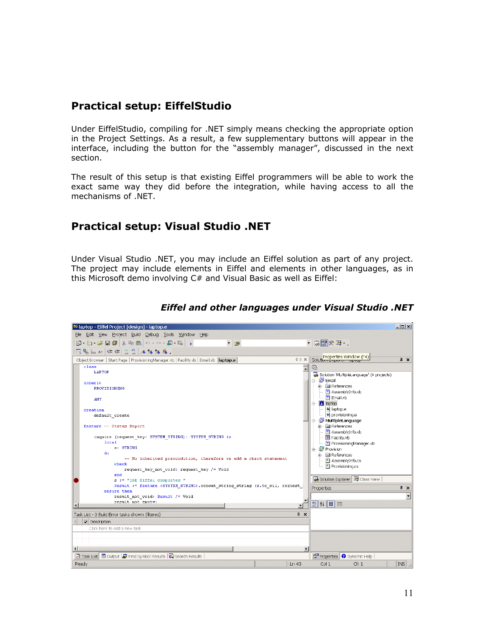### **Practical setup: EiffelStudio**

Under EiffelStudio, compiling for .NET simply means checking the appropriate option in the Project Settings. As a result, a few supplementary buttons will appear in the interface, including the button for the "assembly manager", discussed in the next section.

The result of this setup is that existing Eiffel programmers will be able to work the exact same way they did before the integration, while having access to all the mechanisms of .NET.

### **Practical setup: Visual Studio .NET**

Under Visual Studio .NET, you may include an Eiffel solution as part of any project. The project may include elements in Eiffel and elements in other languages, as in this Microsoft demo involving C# and Visual Basic as well as Eiffel:

| Maptop - Eiffel Project [design] - laptop.e                                                                                                                                                                                                                                                                                                                                                                                                                                                                                                                                                                                                                                                                                                                                                                                                                                                                                                                                                                                                                                                                                                                                                                                 | $ \Box$ $\times$ |
|-----------------------------------------------------------------------------------------------------------------------------------------------------------------------------------------------------------------------------------------------------------------------------------------------------------------------------------------------------------------------------------------------------------------------------------------------------------------------------------------------------------------------------------------------------------------------------------------------------------------------------------------------------------------------------------------------------------------------------------------------------------------------------------------------------------------------------------------------------------------------------------------------------------------------------------------------------------------------------------------------------------------------------------------------------------------------------------------------------------------------------------------------------------------------------------------------------------------------------|------------------|
| File Edit View Project Build Debug Tools Window Help                                                                                                                                                                                                                                                                                                                                                                                                                                                                                                                                                                                                                                                                                                                                                                                                                                                                                                                                                                                                                                                                                                                                                                        |                  |
| • 同国の好・.<br>御・袖・手目創 太阳追 わ・○・廻・鳳 )<br>$ p$                                                                                                                                                                                                                                                                                                                                                                                                                                                                                                                                                                                                                                                                                                                                                                                                                                                                                                                                                                                                                                                                                                                                                                                   |                  |
| 回唱三社 建建 三色 人为为为。                                                                                                                                                                                                                                                                                                                                                                                                                                                                                                                                                                                                                                                                                                                                                                                                                                                                                                                                                                                                                                                                                                                                                                                                            |                  |
| Object Browser   Start Page   ProvisioningManager.vb   Facility.vb   Email.vb   laptop.e<br>$\Diamond$ $\Diamond$ $\times$                                                                                                                                                                                                                                                                                                                                                                                                                                                                                                                                                                                                                                                                                                                                                                                                                                                                                                                                                                                                                                                                                                  | $4 \times$       |
| Solution Explorer Mindow (F4)<br>class<br>Q<br>LAPTOP<br>Solution 'MultipleLanquage' (4 projects)<br>中 <b>型</b> Email<br>inherit<br>in a References<br>PROVISIONING<br>- ■ AssemblyInfo.vb<br>$\frac{m}{2}$ Email.vb<br><b>ANY</b><br>—  ● laptop.e<br>creation<br>- a) provisioning.e<br>default create<br>白 图 MultipleLanguage<br><b>मे- © References</b><br>feature -- Status Report<br><sup>ve</sup> l AssemblyInfo.vb<br>$\left  - \right $ El Facility.vb<br>inquire (request key: SYSTEM STRING): SYSTEM STRING is<br>local.<br>ProvisioningManager.vb<br>s: STRING<br>白 图 Provision<br>do<br>i i la References<br>-- No inherited precondition, therefore we add a check statement<br>$\leftarrow$ <sup>2</sup> AssemblyInfo.cs<br>check<br>Provisioning.cs<br>request key not void: request key /= Void<br>end<br>Solution Explorer 3 Class View<br>s := "ISE Eiffel completed "<br>Result := feature (SYSTEM STRING).concat string string (s.to cil, request )<br>Properties<br>ensure then<br>result not void: Result /= Void<br>result not empty;<br><b>即 2↓ 回 画</b><br>$\overline{\bullet}$<br>Task List - 0 Build Error tasks shown (filtered)<br>$\sqrt{4}$ X<br>Description<br>Click here to add a new task | $4 \times$       |
| $\vert \cdot \vert$                                                                                                                                                                                                                                                                                                                                                                                                                                                                                                                                                                                                                                                                                                                                                                                                                                                                                                                                                                                                                                                                                                                                                                                                         |                  |
| <b>2</b> Task List <b>□</b> Output $\frac{1}{24}$ Find Symbol Results $\frac{1}{34}$ Search Results<br>Properties O Dynamic Help                                                                                                                                                                                                                                                                                                                                                                                                                                                                                                                                                                                                                                                                                                                                                                                                                                                                                                                                                                                                                                                                                            |                  |
| Ch <sub>1</sub><br>Ready<br>Col <sub>1</sub><br>Ln 43                                                                                                                                                                                                                                                                                                                                                                                                                                                                                                                                                                                                                                                                                                                                                                                                                                                                                                                                                                                                                                                                                                                                                                       | <b>INS</b>       |

#### *Eiffel and other languages under Visual Studio .NET*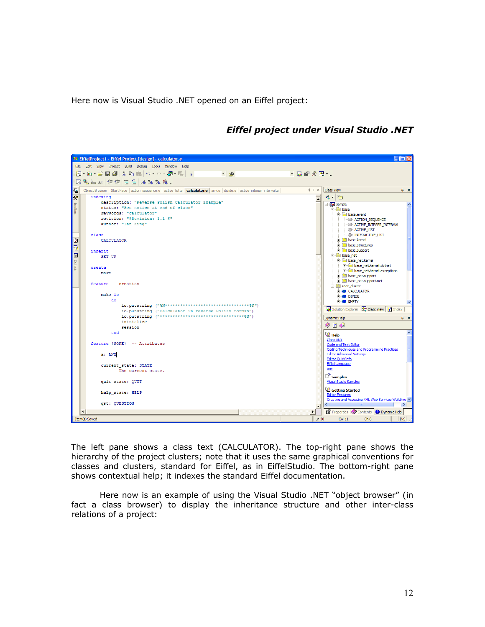Here now is Visual Studio .NET opened on an Eiffel project:



*Eiffel project under Visual Studio .NET*

The left pane shows a class text (CALCULATOR). The top-right pane shows the hierarchy of the project clusters; note that it uses the same graphical conventions for classes and clusters, standard for Eiffel, as in EiffelStudio. The bottom-right pane shows contextual help; it indexes the standard Eiffel documentation.

Here now is an example of using the Visual Studio .NET "object browser" (in fact a class browser) to display the inheritance structure and other inter-class relations of a project: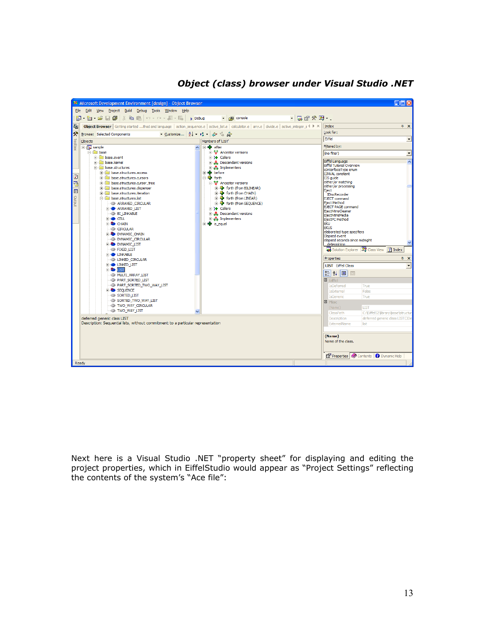

### *Object (class) browser under Visual Studio .NET*

Next here is a Visual Studio .NET "property sheet" for displaying and editing the project properties, which in EiffelStudio would appear as "Project Settings" reflecting the contents of the system's "Ace file":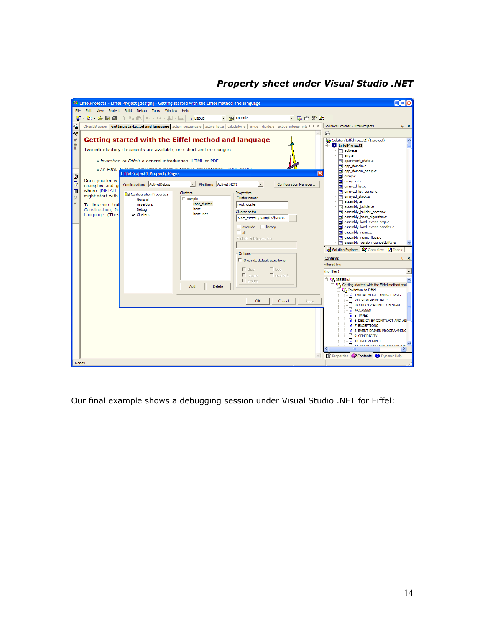#### *Property sheet under Visual Studio .NET*



Our final example shows a debugging session under Visual Studio .NET for Eiffel: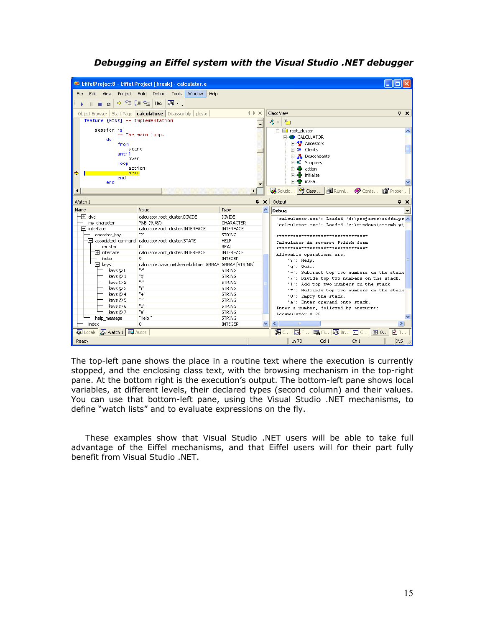

#### *Debugging an Eiffel system with the Visual Studio .NET debugger*

The top-left pane shows the place in a routine text where the execution is currently stopped, and the enclosing class text, with the browsing mechanism in the top-right pane. At the bottom right is the execution's output. The bottom-left pane shows local variables, at different levels, their declared types (second column) and their values. You can use that bottom-left pane, using the Visual Studio .NET mechanisms, to define "watch lists" and to evaluate expressions on the fly.

These examples show that Visual Studio .NET users will be able to take full advantage of the Eiffel mechanisms, and that Eiffel users will for their part fully benefit from Visual Studio .NET.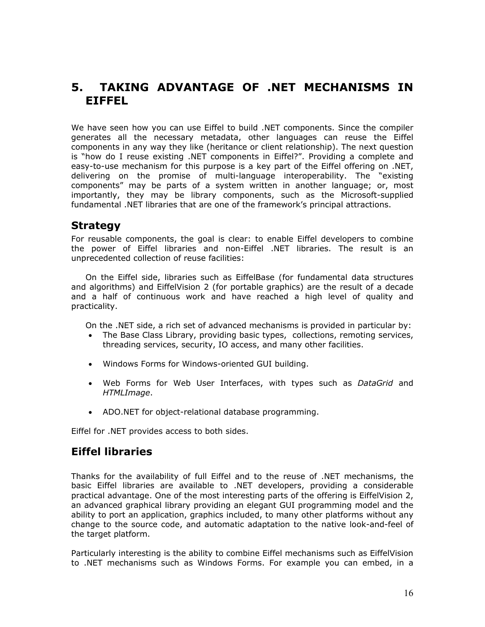## **5. TAKING ADVANTAGE OF .NET MECHANISMS IN EIFFEL**

We have seen how you can use Eiffel to build .NET components. Since the compiler generates all the necessary metadata, other languages can reuse the Eiffel components in any way they like (heritance or client relationship). The next question is "how do I reuse existing .NET components in Eiffel?". Providing a complete and easy-to-use mechanism for this purpose is a key part of the Eiffel offering on .NET, delivering on the promise of multi-language interoperability. The "existing components" may be parts of a system written in another language; or, most importantly, they may be library components, such as the Microsoft-supplied fundamental .NET libraries that are one of the framework's principal attractions.

### **Strategy**

For reusable components, the goal is clear: to enable Eiffel developers to combine the power of Eiffel libraries and non-Eiffel .NET libraries. The result is an unprecedented collection of reuse facilities:

On the Eiffel side, libraries such as EiffelBase (for fundamental data structures and algorithms) and EiffelVision 2 (for portable graphics) are the result of a decade and a half of continuous work and have reached a high level of quality and practicality.

On the .NET side, a rich set of advanced mechanisms is provided in particular by:

- The Base Class Library, providing basic types, collections, remoting services, threading services, security, IO access, and many other facilities.
- Windows Forms for Windows-oriented GUI building.
- Web Forms for Web User Interfaces, with types such as *DataGrid* and *HTMLImage*.
- ADO.NET for object-relational database programming.

Eiffel for .NET provides access to both sides.

### **Eiffel libraries**

Thanks for the availability of full Eiffel and to the reuse of .NET mechanisms, the basic Eiffel libraries are available to .NET developers, providing a considerable practical advantage. One of the most interesting parts of the offering is EiffelVision 2, an advanced graphical library providing an elegant GUI programming model and the ability to port an application, graphics included, to many other platforms without any change to the source code, and automatic adaptation to the native look-and-feel of the target platform.

Particularly interesting is the ability to combine Eiffel mechanisms such as EiffelVision to .NET mechanisms such as Windows Forms. For example you can embed, in a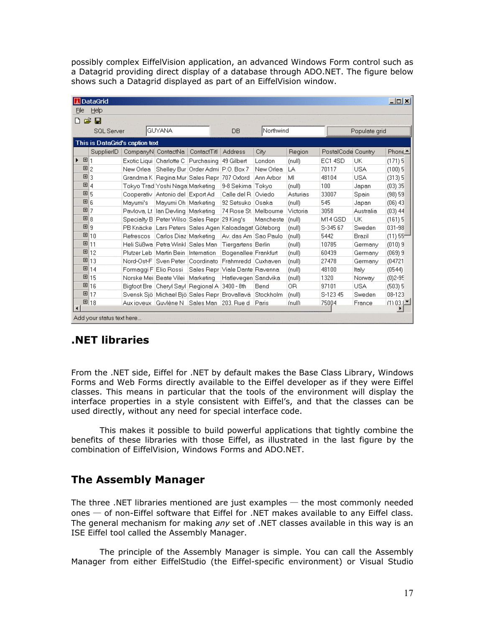possibly complex EiffelVision application, an advanced Windows Form control such as a Datagrid providing direct display of a database through ADO.NET. The figure below shows such a Datagrid displayed as part of an EiffelVision window.

|                                    | <b>A</b> DataGrid |                          |                                        |                                                                |                                    |           |          |                    |            | $\Box$ o $\times$      |
|------------------------------------|-------------------|--------------------------|----------------------------------------|----------------------------------------------------------------|------------------------------------|-----------|----------|--------------------|------------|------------------------|
| Help<br>File                       |                   |                          |                                        |                                                                |                                    |           |          |                    |            |                        |
| 户<br>η                             | П                 |                          |                                        |                                                                |                                    |           |          |                    |            |                        |
| <b>GUYANA</b><br><b>SQL Server</b> |                   |                          |                                        |                                                                | Northwind<br><b>DB</b>             |           |          | Populate grid      |            |                        |
| This is DataGrid's caption text    |                   |                          |                                        |                                                                |                                    |           |          |                    |            |                        |
|                                    | SupplierID        | CompanyN ContactNa       |                                        | ContactTitl                                                    | <b>Address</b>                     | City      | Region   | PostalCode Country |            | Phone≜                 |
| 田1<br>٠                            |                   | Exotic Liqui Charlotte C |                                        | Purchasing                                                     | 49 Gilbert                         | London    | (null)   | EC14SD             | UK         | (171)5                 |
| 国2                                 |                   | New Orlea                |                                        | Shelley Bur   Order Admi   P.O. Box 7                          |                                    | New Orlea | LA       | 70117              | USA        | $(100)$ 5              |
| $\Box$ 3                           |                   |                          |                                        | Grandma K   Regina Mur   Sales Repr                            | 707 Oxford                         | Ann Arbor | MI       | 48104              | <b>USA</b> | (313)5                 |
| $\boxed{H}$ 4                      |                   |                          | Tokyo Trad Yoshi Naga Marketing        |                                                                | 9-8 Sekima Tokvo                   |           | (null)   | 100                | Japan      | (03) 35                |
| 国 <sub>5</sub>                     |                   |                          | Cooperativ Antonio del Export Ad       |                                                                | Calle del R                        | Oviedo    | Asturias | 33007              | Spain      | (98) 59                |
| 国6                                 |                   | Mayumi's                 | Mayumi Oh   Marketing                  |                                                                | 92 Setsuko                         | Osaka     | (null)   | 545                | Japan      | $(06)$ 43              |
| 国7                                 |                   |                          | Pavlova, Lt Han Devling   Marketing    |                                                                | 74 Rose St. Melbourne              |           | Victoria | 3058               | Australia  | $(03)$ 44              |
| 国8                                 |                   |                          | Specialty B   Peter Wilso   Sales Repr |                                                                | 29 Kina's                          | Mancheste | (rnull)  | M14 GSD            | UK         | (161)5                 |
| $\boxplus$ 9                       |                   |                          |                                        | PB Knäcke Lars Peters Sales Agen Kaloadagat Göteborg           |                                    |           | (null)   | S-345 67           | Sweden     | 031-98                 |
|                                    | 国10               | Refrescos                | Carlos Diaz Marketing                  |                                                                | Av. das Am   Sao Paulo             |           | (null)   | 5442               | Brazil     | $(11) 55$ <sup>-</sup> |
| 田11                                |                   |                          | Heli Süßwa   Petra Wink    Sales Man   |                                                                | Tiergartens Berlin                 |           | (null)   | 10785              | Germany    | (010)9                 |
|                                    | 国12               | Plutzer Leb              | Martin Bein                            | Internation                                                    | Bogenallee Frankfurt               |           | (null)   | 60439              | Germany    | (069)9                 |
|                                    | 国13               | Nord-Ost-F               | Sven Peter                             | Coordinato                                                     | Frahmredd   Cuxhaven               |           | (null)   | 27478              | Germany    | (04721)                |
|                                    | 国14               | Formaggi F Elio Rossi    |                                        |                                                                | Sales Repr   Viale Dante   Ravenna |           | (null)   | 48100              | Italy      | (0544)                 |
|                                    | 国15               | Norske Mei Beate Vilei   |                                        | Marketing                                                      | Hatlevegen Sandvika                |           | (null)   | 1320               | Norway     | $(0)2 - 95$            |
|                                    | 国16               |                          | Bigfoot Bre   Cheryl Sayl   Regional A |                                                                | 3400 - 8th                         | Bend      | 0R       | 97101              | USA        | (503) 5                |
|                                    | 国17               |                          |                                        | Svensk Sjö   Michael Bjö   Sales Repr   Brovallavä   Stockholm |                                    |           | (null)   | S-12345            | Sweden     | 08-123                 |
| $\left  \right $                   | 国18               |                          | Aux ioveux   Guvlène N   Sales Man     |                                                                | 203. Rue d                         | Paris     | (null)   | 75004              | France     | (1) 03.5               |
| ▸<br>Add your status text here     |                   |                          |                                        |                                                                |                                    |           |          |                    |            |                        |

## **.NET libraries**

From the .NET side, Eiffel for .NET by default makes the Base Class Library, Windows Forms and Web Forms directly available to the Eiffel developer as if they were Eiffel classes. This means in particular that the tools of the environment will display the interface properties in a style consistent with Eiffel's, and that the classes can be used directly, without any need for special interface code.

This makes it possible to build powerful applications that tightly combine the benefits of these libraries with those Eiffel, as illustrated in the last figure by the combination of EiffelVision, Windows Forms and ADO.NET.

## **The Assembly Manager**

The three .NET libraries mentioned are just examples  $-$  the most commonly needed ones  $-$  of non-Eiffel software that Eiffel for .NET makes available to any Eiffel class. The general mechanism for making *any* set of .NET classes available in this way is an ISE Eiffel tool called the Assembly Manager.

The principle of the Assembly Manager is simple. You can call the Assembly Manager from either EiffelStudio (the Eiffel-specific environment) or Visual Studio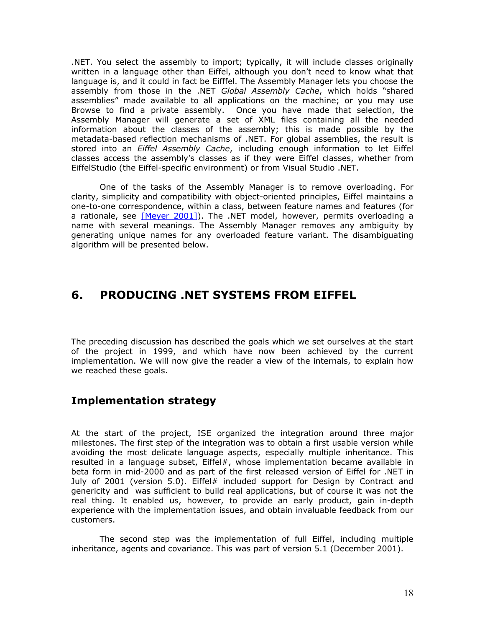.NET. You select the assembly to import; typically, it will include classes originally written in a language other than Eiffel, although you don't need to know what that language is, and it could in fact be Eifffel. The Assembly Manager lets you choose the assembly from those in the .NET *Global Assembly Cache*, which holds "shared assemblies" made available to all applications on the machine; or you may use Browse to find a private assembly. Once you have made that selection, the Assembly Manager will generate a set of XML files containing all the needed information about the classes of the assembly; this is made possible by the metadata-based reflection mechanisms of .NET. For global assemblies, the result is stored into an *Eiffel Assembly Cache*, including enough information to let Eiffel classes access the assembly's classes as if they were Eiffel classes, whether from EiffelStudio (the Eiffel-specific environment) or from Visual Studio .NET.

One of the tasks of the Assembly Manager is to remove overloading. For clarity, simplicity and compatibility with object-oriented principles, Eiffel maintains a one-to-one correspondence, within a class, between feature names and features (for a rationale, see  $[Meyer 2001]$ ). The .NET model, however, permits overloading a name with several meanings. The Assembly Manager removes any ambiguity by generating unique names for any overloaded feature variant. The disambiguating algorithm will be presented below.

## **6. PRODUCING .NET SYSTEMS FROM EIFFEL**

The preceding discussion has described the goals which we set ourselves at the start of the project in 1999, and which have now been achieved by the current implementation. We will now give the reader a view of the internals, to explain how we reached these goals.

### **Implementation strategy**

At the start of the project, ISE organized the integration around three major milestones. The first step of the integration was to obtain a first usable version while avoiding the most delicate language aspects, especially multiple inheritance. This resulted in a language subset, Eiffel#, whose implementation became available in beta form in mid-2000 and as part of the first released version of Eiffel for .NET in July of 2001 (version 5.0). Eiffel# included support for Design by Contract and genericity and was sufficient to build real applications, but of course it was not the real thing. It enabled us, however, to provide an early product, gain in-depth experience with the implementation issues, and obtain invaluable feedback from our customers.

The second step was the implementation of full Eiffel, including multiple inheritance, agents and covariance. This was part of version 5.1 (December 2001).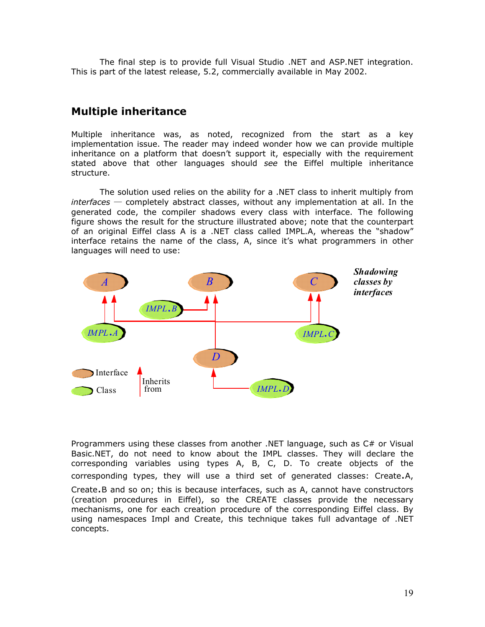The final step is to provide full Visual Studio .NET and ASP.NET integration. This is part of the latest release, 5.2, commercially available in May 2002.

### **Multiple inheritance**

Multiple inheritance was, as noted, recognized from the start as a key implementation issue. The reader may indeed wonder how we can provide multiple inheritance on a platform that doesn't support it, especially with the requirement stated above that other languages should *see* the Eiffel multiple inheritance structure.

The solution used relies on the ability for a .NET class to inherit multiply from *interfaces* ─ completely abstract classes, without any implementation at all. In the generated code, the compiler shadows every class with interface. The following figure shows the result for the structure illustrated above; note that the counterpart of an original Eiffel class A is a .NET class called IMPL.A, whereas the "shadow" interface retains the name of the class, A, since it's what programmers in other languages will need to use:



Programmers using these classes from another .NET language, such as C# or Visual Basic.NET, do not need to know about the IMPL classes. They will declare the corresponding variables using types A, B, C, D. To create objects of the corresponding types, they will use a third set of generated classes: Create.A, Create.B and so on; this is because interfaces, such as A, cannot have constructors (creation procedures in Eiffel), so the CREATE classes provide the necessary mechanisms, one for each creation procedure of the corresponding Eiffel class. By using namespaces Impl and Create, this technique takes full advantage of .NET concepts.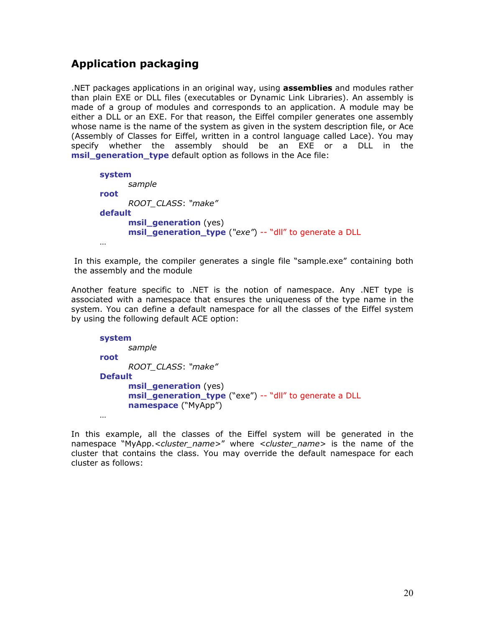### **Application packaging**

.NET packages applications in an original way, using **assemblies** and modules rather than plain EXE or DLL files (executables or Dynamic Link Libraries). An assembly is made of a group of modules and corresponds to an application. A module may be either a DLL or an EXE. For that reason, the Eiffel compiler generates one assembly whose name is the name of the system as given in the system description file, or Ace (Assembly of Classes for Eiffel, written in a control language called Lace). You may specify whether the assembly should be an EXE or a DLL in the **msil\_generation\_type** default option as follows in the Ace file:

```
system 
       sample 
root
      ROOT_CLASS: "make"
default 
       msil_generation (yes)
       msil_generation_type ("exe") -- "dll" to generate a DLL
 …
```
In this example, the compiler generates a single file "sample.exe" containing both the assembly and the module

Another feature specific to .NET is the notion of namespace. Any .NET type is associated with a namespace that ensures the uniqueness of the type name in the system. You can define a default namespace for all the classes of the Eiffel system by using the following default ACE option:

```
system 
       sample 
root
      ROOT_CLASS: "make"
Default 
      msil_generation (yes)
       msil_generation_type ("exe") -- "dll" to generate a DLL
       namespace ("MyApp") 
 …
```
In this example, all the classes of the Eiffel system will be generated in the namespace "MyApp.*<cluster\_name>*" where *<cluster\_name>* is the name of the cluster that contains the class. You may override the default namespace for each cluster as follows: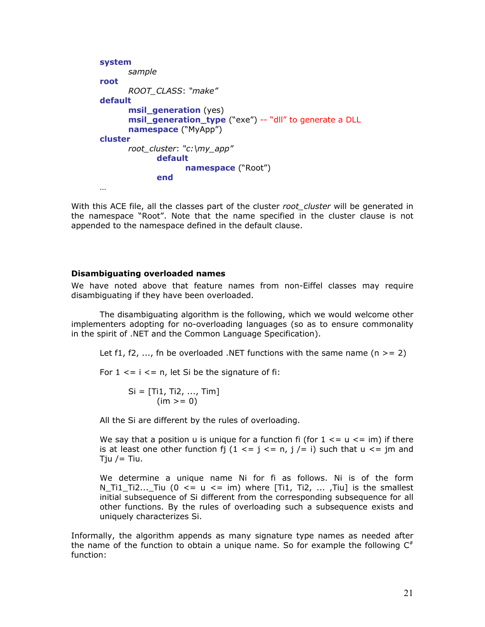```
system 
       sample 
root
      ROOT_CLASS: "make"
default 
      msil generation (yes)
       msil_generation_type ("exe") -- "dll" to generate a DLL
       namespace ("MyApp")
cluster 
       root_cluster: "c:\my_app"
              default 
                     namespace ("Root") 
              end 
 …
```
With this ACE file, all the classes part of the cluster *root\_cluster* will be generated in the namespace "Root". Note that the name specified in the cluster clause is not appended to the namespace defined in the default clause.

#### **Disambiguating overloaded names**

We have noted above that feature names from non-Eiffel classes may require disambiguating if they have been overloaded.

The disambiguating algorithm is the following, which we would welcome other implementers adopting for no-overloading languages (so as to ensure commonality in the spirit of .NET and the Common Language Specification).

Let f1, f2,  $\ldots$ , fn be overloaded .NET functions with the same name (n  $>= 2$ )

For  $1 \le i \le n$ , let Si be the signature of fi:

$$
Si = [Ti1, Ti2, ..., Tim]
$$
  
(im >= 0)

All the Si are different by the rules of overloading.

We say that a position u is unique for a function fi (for  $1 \leq u \leq im$ ) if there is at least one other function fi (1  $\lt = i \lt = n$ ,  $i \neq i$ ) such that  $u \lt = im$  and Tju  $/$  = Tiu.

We determine a unique name Ni for fi as follows. Ni is of the form N\_Ti1\_Ti2...\_Tiu ( $0 \leq u \leq im$ ) where [Ti1, Ti2, ..., Tiu] is the smallest initial subsequence of Si different from the corresponding subsequence for all other functions. By the rules of overloading such a subsequence exists and uniquely characterizes Si.

Informally, the algorithm appends as many signature type names as needed after the name of the function to obtain a unique name. So for example the following  $C^*$ function: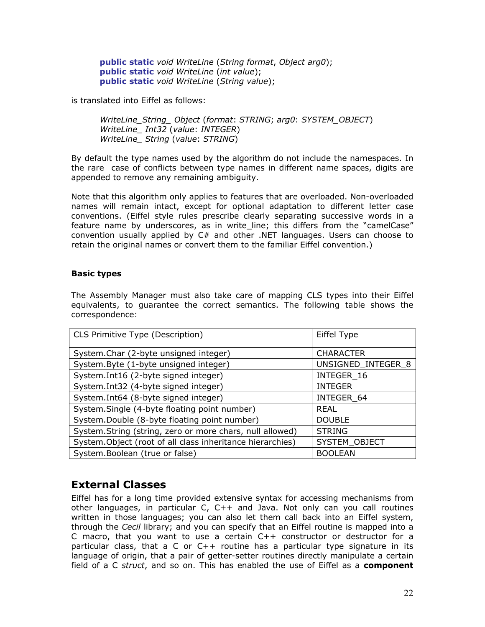**public static** *void WriteLine* (*String format*, *Object arg0*); **public static** *void WriteLine* (*int value*); **public static** *void WriteLine* (*String value*);

is translated into Eiffel as follows:

*WriteLine\_String\_ Object* (*format*: *STRING*; *arg0*: *SYSTEM\_OBJECT*) *WriteLine\_ Int32* (*value*: *INTEGER*) *WriteLine\_ String* (*value*: *STRING*)

By default the type names used by the algorithm do not include the namespaces. In the rare case of conflicts between type names in different name spaces, digits are appended to remove any remaining ambiguity.

Note that this algorithm only applies to features that are overloaded. Non-overloaded names will remain intact, except for optional adaptation to different letter case conventions. (Eiffel style rules prescribe clearly separating successive words in a feature name by underscores, as in write\_line; this differs from the "camelCase" convention usually applied by C# and other .NET languages. Users can choose to retain the original names or convert them to the familiar Eiffel convention.)

#### **Basic types**

The Assembly Manager must also take care of mapping CLS types into their Eiffel equivalents, to guarantee the correct semantics. The following table shows the correspondence:

| CLS Primitive Type (Description)                           | Eiffel Type        |
|------------------------------------------------------------|--------------------|
| System.Char (2-byte unsigned integer)                      | <b>CHARACTER</b>   |
| System.Byte (1-byte unsigned integer)                      | UNSIGNED_INTEGER_8 |
| System.Int16 (2-byte signed integer)                       | INTEGER 16         |
| System.Int32 (4-byte signed integer)                       | <b>INTEGER</b>     |
| System.Int64 (8-byte signed integer)                       | INTEGER 64         |
| System.Single (4-byte floating point number)               | <b>REAL</b>        |
| System.Double (8-byte floating point number)               | <b>DOUBLE</b>      |
| System. String (string, zero or more chars, null allowed)  | <b>STRING</b>      |
| System. Object (root of all class inheritance hierarchies) | SYSTEM OBJECT      |
| System.Boolean (true or false)                             | <b>BOOLEAN</b>     |

### **External Classes**

Eiffel has for a long time provided extensive syntax for accessing mechanisms from other languages, in particular C, C++ and Java. Not only can you call routines written in those languages; you can also let them call back into an Eiffel system, through the *Cecil* library; and you can specify that an Eiffel routine is mapped into a C macro, that you want to use a certain C++ constructor or destructor for a particular class, that a C or C++ routine has a particular type signature in its language of origin, that a pair of getter-setter routines directly manipulate a certain field of a C *struct*, and so on. This has enabled the use of Eiffel as a **component**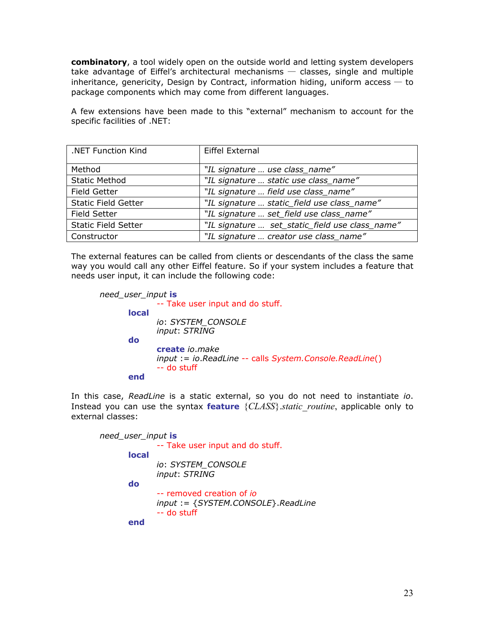**combinatory**, a tool widely open on the outside world and letting system developers take advantage of Eiffel's architectural mechanisms  $-$  classes, single and multiple inheritance, genericity, Design by Contract, information hiding, uniform access  $-$  to package components which may come from different languages.

A few extensions have been made to this "external" mechanism to account for the specific facilities of .NET:

| .NET Function Kind         | Eiffel External                                 |
|----------------------------|-------------------------------------------------|
|                            |                                                 |
| Method                     | "IL signature  use class name"                  |
| <b>Static Method</b>       | "IL signature  static use class_name"           |
| <b>Field Getter</b>        | "IL signature  field use class_name"            |
| <b>Static Field Getter</b> | "IL signature  static_field use class_name"     |
| <b>Field Setter</b>        | "IL signature  set_field use class_name"        |
| <b>Static Field Setter</b> | "IL signature  set_static_field use class_name" |
| Constructor                | "IL signature  creator use class_name"          |

The external features can be called from clients or descendants of the class the same way you would call any other Eiffel feature. So if your system includes a feature that needs user input, it can include the following code:

```
need_user_input is
              -- Take user input and do stuff.
        local 
               io: SYSTEM_CONSOLE
               input: STRING
        do 
               create io.make
               input := io.ReadLine -- calls System.Console.ReadLine() 
               -- do stuff 
        end
```
In this case, *ReadLine* is a static external, so you do not need to instantiate *io*. Instead you can use the syntax **feature** {*CLASS*}.*static\_routine*, applicable only to external classes:

```
need_user_input is
              -- Take user input and do stuff.
        local 
               io: SYSTEM_CONSOLE
               input: STRING
        do 
               -- removed creation of io
               input := {SYSTEM.CONSOLE}.ReadLine
               -- do stuff 
        end
```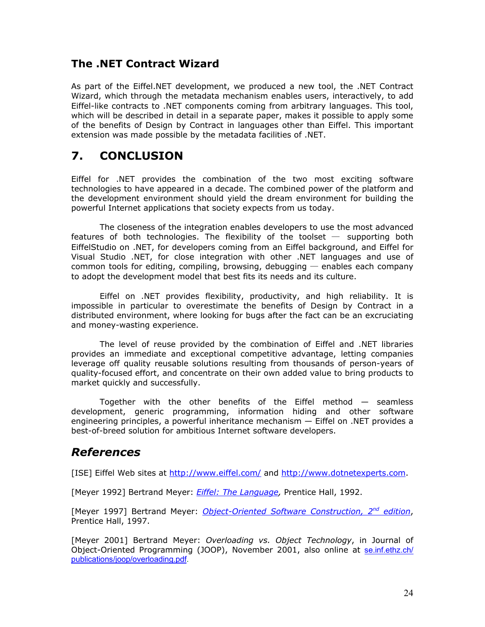### **The .NET Contract Wizard**

As part of the Eiffel.NET development, we produced a new tool, the .NET Contract Wizard, which through the metadata mechanism enables users, interactively, to add Eiffel-like contracts to .NET components coming from arbitrary languages. This tool, which will be described in detail in a separate paper, makes it possible to apply some of the benefits of Design by Contract in languages other than Eiffel. This important extension was made possible by the metadata facilities of .NET.

# **7. CONCLUSION**

Eiffel for .NET provides the combination of the two most exciting software technologies to have appeared in a decade. The combined power of the platform and the development environment should yield the dream environment for building the powerful Internet applications that society expects from us today.

The closeness of the integration enables developers to use the most advanced features of both technologies. The flexibility of the toolset  $-$  supporting both EiffelStudio on .NET, for developers coming from an Eiffel background, and Eiffel for Visual Studio .NET, for close integration with other .NET languages and use of common tools for editing, compiling, browsing, debugging  $-$  enables each company to adopt the development model that best fits its needs and its culture.

Eiffel on .NET provides flexibility, productivity, and high reliability. It is impossible in particular to overestimate the benefits of Design by Contract in a distributed environment, where looking for bugs after the fact can be an excruciating and money-wasting experience.

The level of reuse provided by the combination of Eiffel and .NET libraries provides an immediate and exceptional competitive advantage, letting companies leverage off quality reusable solutions resulting from thousands of person-years of quality-focused effort, and concentrate on their own added value to bring products to market quickly and successfully.

Together with the other benefits of the Eiffel method — seamless development, generic programming, information hiding and other software engineering principles, a powerful inheritance mechanism — Eiffel on .NET provides a best-of-breed solution for ambitious Internet software developers.

## *References*

[ISE] Eiffel Web sites at <http://www.eiffel.com/>and [http://www.dotnetexperts.com](http://www.dotnetexperts.com/).

[Meyer 1992] Bertrand Meyer: *[Eiffel: The Language,](http://www.eiffel.com/doc/)* Prentice Hall, 1992.

[Meyer 1997] Bertrand Meyer: *[Object-Oriented Software Construction, 2nd edition](http://www.eiffel.com/doc/oosc/)*, Prentice Hall, 1997.

[Meyer 2001] Bertrand Meyer: *Overloading vs. Object Technology*, in Journal of Object-Oriented Programming (JOOP), November 2001, also online at [se.inf.ethz.ch/](http://se.inf.ethz.ch/publications/joop/overloading.pdf)  [publications/joop/overloading.pdf.](http://se.inf.ethz.ch/publications/joop/overloading.pdf)